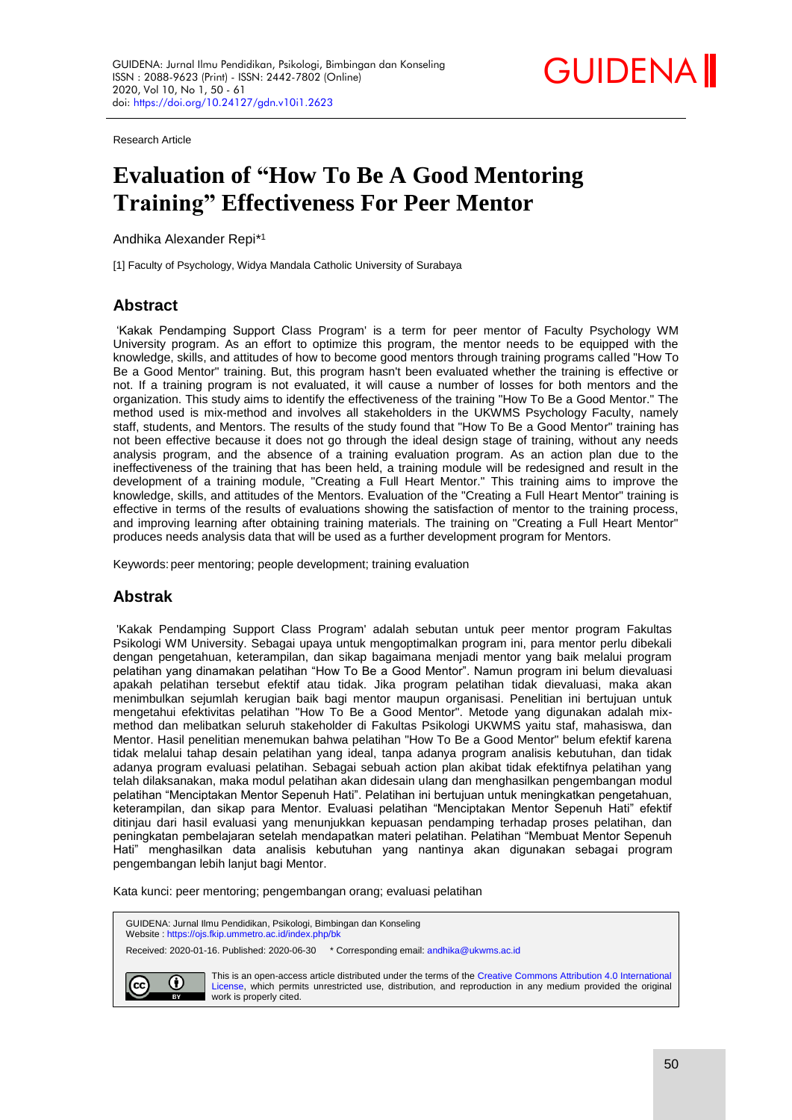

Research Article

# **Evaluation of "How To Be A Good Mentoring Training" Effectiveness For Peer Mentor**

Andhika Alexander Repi\* 1

[1] Faculty of Psychology, Widya Mandala Catholic University of Surabaya

# **Abstract**

'Kakak Pendamping Support Class Program' is a term for peer mentor of Faculty Psychology WM University program. As an effort to optimize this program, the mentor needs to be equipped with the knowledge, skills, and attitudes of how to become good mentors through training programs called "How To Be a Good Mentor" training. But, this program hasn't been evaluated whether the training is effective or not. If a training program is not evaluated, it will cause a number of losses for both mentors and the organization. This study aims to identify the effectiveness of the training "How To Be a Good Mentor." The method used is mix-method and involves all stakeholders in the UKWMS Psychology Faculty, namely staff, students, and Mentors. The results of the study found that "How To Be a Good Mentor" training has not been effective because it does not go through the ideal design stage of training, without any needs analysis program, and the absence of a training evaluation program. As an action plan due to the ineffectiveness of the training that has been held, a training module will be redesigned and result in the development of a training module, "Creating a Full Heart Mentor." This training aims to improve the knowledge, skills, and attitudes of the Mentors. Evaluation of the "Creating a Full Heart Mentor" training is effective in terms of the results of evaluations showing the satisfaction of mentor to the training process, and improving learning after obtaining training materials. The training on "Creating a Full Heart Mentor" produces needs analysis data that will be used as a further development program for Mentors.

Keywords:peer mentoring; people development; training evaluation

## **Abstrak**

'Kakak Pendamping Support Class Program' adalah sebutan untuk peer mentor program Fakultas Psikologi WM University. Sebagai upaya untuk mengoptimalkan program ini, para mentor perlu dibekali dengan pengetahuan, keterampilan, dan sikap bagaimana menjadi mentor yang baik melalui program pelatihan yang dinamakan pelatihan "How To Be a Good Mentor". Namun program ini belum dievaluasi apakah pelatihan tersebut efektif atau tidak. Jika program pelatihan tidak dievaluasi, maka akan menimbulkan sejumlah kerugian baik bagi mentor maupun organisasi. Penelitian ini bertujuan untuk mengetahui efektivitas pelatihan "How To Be a Good Mentor". Metode yang digunakan adalah mixmethod dan melibatkan seluruh stakeholder di Fakultas Psikologi UKWMS yaitu staf, mahasiswa, dan Mentor. Hasil penelitian menemukan bahwa pelatihan "How To Be a Good Mentor" belum efektif karena tidak melalui tahap desain pelatihan yang ideal, tanpa adanya program analisis kebutuhan, dan tidak adanya program evaluasi pelatihan. Sebagai sebuah action plan akibat tidak efektifnya pelatihan yang telah dilaksanakan, maka modul pelatihan akan didesain ulang dan menghasilkan pengembangan modul pelatihan "Menciptakan Mentor Sepenuh Hati". Pelatihan ini bertujuan untuk meningkatkan pengetahuan, keterampilan, dan sikap para Mentor. Evaluasi pelatihan "Menciptakan Mentor Sepenuh Hati" efektif ditinjau dari hasil evaluasi yang menunjukkan kepuasan pendamping terhadap proses pelatihan, dan peningkatan pembelajaran setelah mendapatkan materi pelatihan. Pelatihan "Membuat Mentor Sepenuh Hati" menghasilkan data analisis kebutuhan yang nantinya akan digunakan sebagai program pengembangan lebih lanjut bagi Mentor.

Kata kunci: peer mentoring; pengembangan orang; evaluasi pelatihan

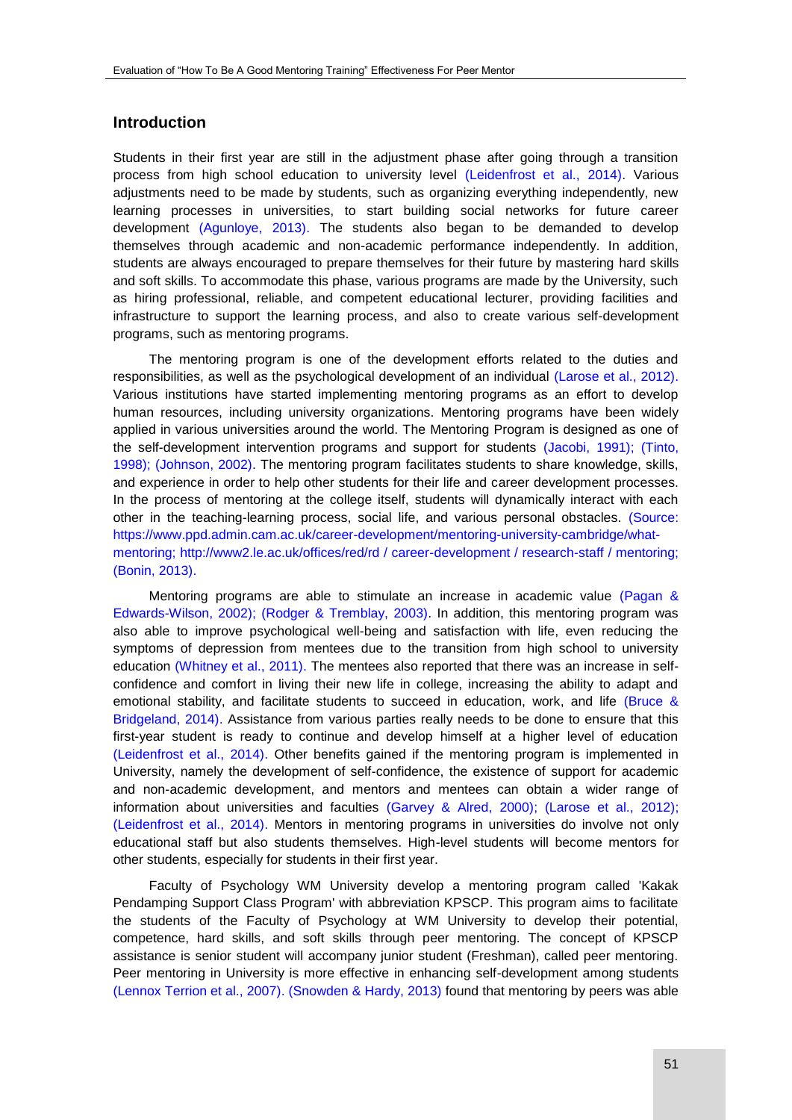## **Introduction**

Students in their first year are still in the adjustment phase after going through a transition process from high school education to university level [\(Leidenfrost et al., 2014\).](#page-9-0) Various adjustments need to be made by students, such as organizing everything independently, new learning processes in universities, to start building social networks for future career development [\(Agunloye, 2013\).](#page-9-0) The students also began to be demanded to develop themselves through academic and non-academic performance independently. In addition, students are always encouraged to prepare themselves for their future by mastering hard skills and soft skills. To accommodate this phase, various programs are made by the University, such as hiring professional, reliable, and competent educational lecturer, providing facilities and infrastructure to support the learning process, and also to create various self-development programs, such as mentoring programs.

The mentoring program is one of the development efforts related to the duties and responsibilities, as well as the psychological development of an individual [\(Larose et al., 2012\).](#page-9-0) Various institutions have started implementing mentoring programs as an effort to develop human resources, including university organizations. Mentoring programs have been widely applied in various universities around the world. The Mentoring Program is designed as one of the self-development intervention programs and support for students [\(Jacobi, 1991\); \(Tinto,](#page-9-0)  1998); (Johnson, 2002). The mentoring program facilitates students to share knowledge, skills, and experience in order to help other students for their life and career development processes. In the process of mentoring at the college itself, students will dynamically interact with each other in the teaching-learning process, social life, and various personal obstacles. [\(Source:](#page-9-0)  [https://www.ppd.admin.cam.ac.uk/career-development/mentoring-university-cambridge/what](#page-9-0)[mentoring; http://www2.le.ac.uk/offices/red/rd / career-development / research-staff / mentoring;](#page-9-0)  (Bonin, 2013).

Mentoring programs are able to stimulate an increase in academic value [\(Pagan &](#page-9-0)  Edwards-Wilson, 2002); (Rodger & Tremblay, 2003). In addition, this mentoring program was also able to improve psychological well-being and satisfaction with life, even reducing the symptoms of depression from mentees due to the transition from high school to university education [\(Whitney et al., 2011\).](#page-9-0) The mentees also reported that there was an increase in selfconfidence and comfort in living their new life in college, increasing the ability to adapt and emotional stability, and facilitate students to succeed in education, work, and life [\(Bruce &](#page-9-0)  Bridgeland, 2014). Assistance from various parties really needs to be done to ensure that this first-year student is ready to continue and develop himself at a higher level of education [\(Leidenfrost et al., 2014\).](#page-9-0) Other benefits gained if the mentoring program is implemented in University, namely the development of self-confidence, the existence of support for academic and non-academic development, and mentors and mentees can obtain a wider range of information about universities and faculties [\(Garvey & Alred, 2000\); \(Larose et al., 2012\);](#page-9-0)  (Leidenfrost et al., 2014). Mentors in mentoring programs in universities do involve not only educational staff but also students themselves. High-level students will become mentors for other students, especially for students in their first year.

Faculty of Psychology WM University develop a mentoring program called 'Kakak Pendamping Support Class Program' with abbreviation KPSCP. This program aims to facilitate the students of the Faculty of Psychology at WM University to develop their potential, competence, hard skills, and soft skills through peer mentoring. The concept of KPSCP assistance is senior student will accompany junior student (Freshman), called peer mentoring. Peer mentoring in University is more effective in enhancing self-development among students [\(Lennox Terrion et al., 2007\). \(Snowden & Hardy, 2013\)](#page-9-0) found that mentoring by peers was able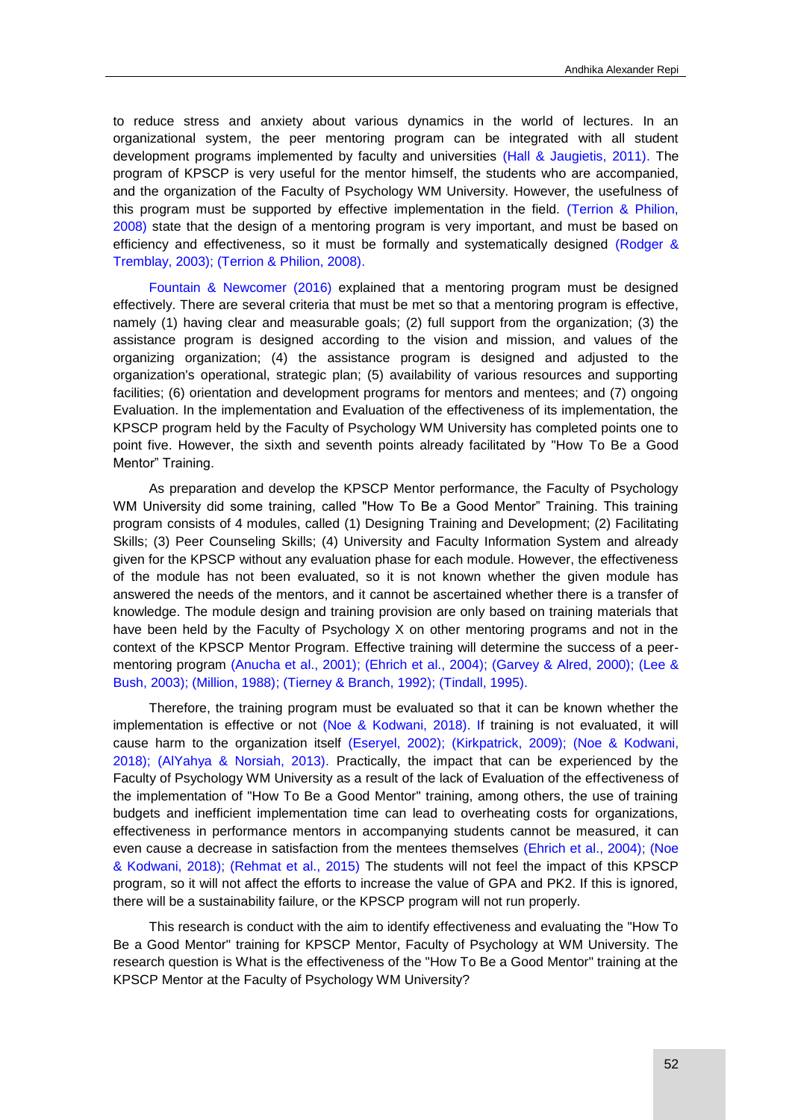to reduce stress and anxiety about various dynamics in the world of lectures. In an organizational system, the peer mentoring program can be integrated with all student development programs implemented by faculty and universities [\(Hall & Jaugietis, 2011\).](#page-9-0) The program of KPSCP is very useful for the mentor himself, the students who are accompanied, and the organization of the Faculty of Psychology WM University. However, the usefulness of this program must be supported by effective implementation in the field. [\(Terrion & Philion,](#page-9-0)  2008) state that the design of a mentoring program is very important, and must be based on efficiency and effectiveness, so it must be formally and systematically designed [\(Rodger &](#page-9-0)  Tremblay, 2003); (Terrion & Philion, 2008).

[Fountain & Newcomer \(2016\)](#page-9-0) explained that a mentoring program must be designed effectively. There are several criteria that must be met so that a mentoring program is effective, namely (1) having clear and measurable goals; (2) full support from the organization; (3) the assistance program is designed according to the vision and mission, and values of the organizing organization; (4) the assistance program is designed and adjusted to the organization's operational, strategic plan; (5) availability of various resources and supporting facilities; (6) orientation and development programs for mentors and mentees; and (7) ongoing Evaluation. In the implementation and Evaluation of the effectiveness of its implementation, the KPSCP program held by the Faculty of Psychology WM University has completed points one to point five. However, the sixth and seventh points already facilitated by "How To Be a Good Mentor" Training.

As preparation and develop the KPSCP Mentor performance, the Faculty of Psychology WM University did some training, called "How To Be a Good Mentor" Training. This training program consists of 4 modules, called (1) Designing Training and Development; (2) Facilitating Skills; (3) Peer Counseling Skills; (4) University and Faculty Information System and already given for the KPSCP without any evaluation phase for each module. However, the effectiveness of the module has not been evaluated, so it is not known whether the given module has answered the needs of the mentors, and it cannot be ascertained whether there is a transfer of knowledge. The module design and training provision are only based on training materials that have been held by the Faculty of Psychology X on other mentoring programs and not in the context of the KPSCP Mentor Program. Effective training will determine the success of a peermentoring program [\(Anucha et al., 2001\); \(Ehrich et al., 2004\); \(Garvey & Alred, 2000\); \(Lee &](#page-9-0)  Bush, 2003); (Million, 1988); (Tierney & Branch, 1992); (Tindall, 1995).

Therefore, the training program must be evaluated so that it can be known whether the implementation is effective or not [\(Noe & Kodwani, 2018\). If](#page-9-0) training is not evaluated, it will cause harm to the organization itself [\(Eseryel, 2002\); \(Kirkpatrick, 2009\);](#page-9-0) (Noe & Kodwani, 2018); (AlYahya & Norsiah, 2013). Practically, the impact that can be experienced by the Faculty of Psychology WM University as a result of the lack of Evaluation of the effectiveness of the implementation of "How To Be a Good Mentor" training, among others, the use of training budgets and inefficient implementation time can lead to overheating costs for organizations, effectiveness in performance mentors in accompanying students cannot be measured, it can even cause a decrease in satisfaction from the mentees themselves [\(Ehrich et al., 2004\); \(Noe](#page-9-0)  & Kodwani, 2018); (Rehmat et al., 2015) The students will not feel the impact of this KPSCP program, so it will not affect the efforts to increase the value of GPA and PK2. If this is ignored, there will be a sustainability failure, or the KPSCP program will not run properly.

This research is conduct with the aim to identify effectiveness and evaluating the "How To Be a Good Mentor" training for KPSCP Mentor, Faculty of Psychology at WM University. The research question is What is the effectiveness of the "How To Be a Good Mentor" training at the KPSCP Mentor at the Faculty of Psychology WM University?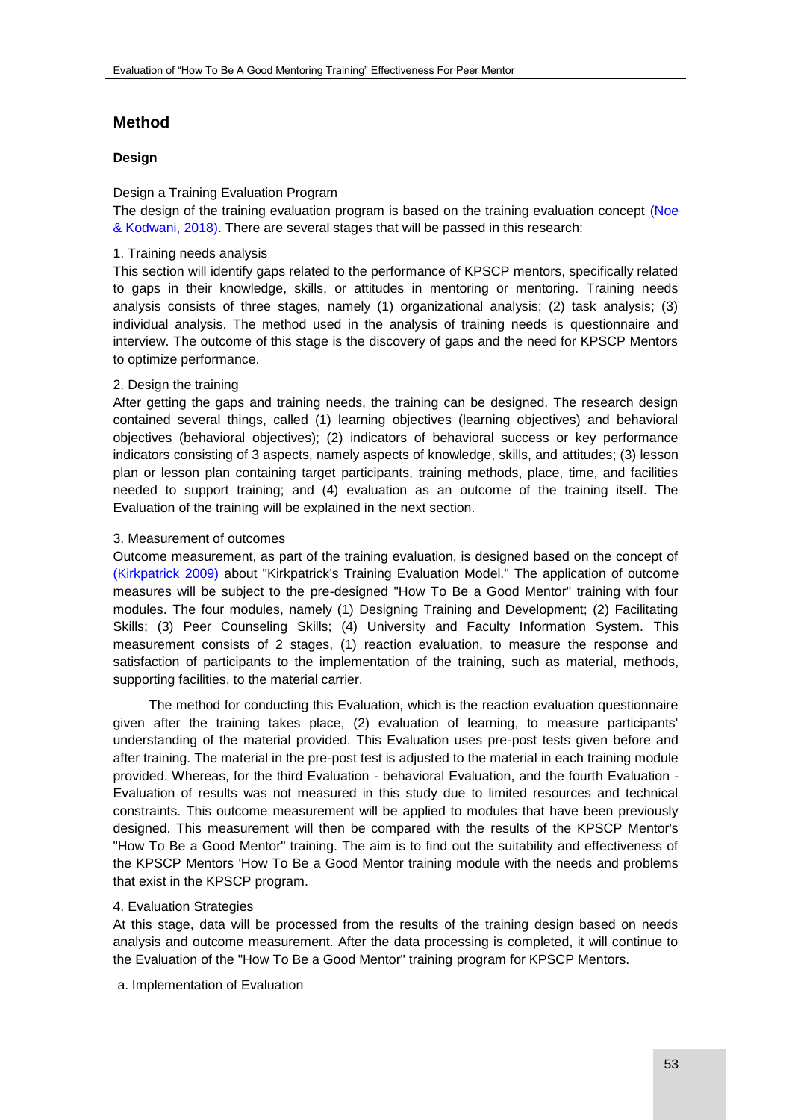# **Method**

## **Design**

## Design a Training Evaluation Program

The design of the training evaluation program is based on the training evaluation concept (Noe & Kodwani, 2018). There are several stages that will be passed in this research:

## 1. Training needs analysis

This section will identify gaps related to the performance of KPSCP mentors, specifically related to gaps in their knowledge, skills, or attitudes in mentoring or mentoring. Training needs analysis consists of three stages, namely (1) organizational analysis; (2) task analysis; (3) individual analysis. The method used in the analysis of training needs is questionnaire and interview. The outcome of this stage is the discovery of gaps and the need for KPSCP Mentors to optimize performance.

#### 2. Design the training

After getting the gaps and training needs, the training can be designed. The research design contained several things, called (1) learning objectives (learning objectives) and behavioral objectives (behavioral objectives); (2) indicators of behavioral success or key performance indicators consisting of 3 aspects, namely aspects of knowledge, skills, and attitudes; (3) lesson plan or lesson plan containing target participants, training methods, place, time, and facilities needed to support training; and (4) evaluation as an outcome of the training itself. The Evaluation of the training will be explained in the next section.

#### 3. Measurement of outcomes

Outcome measurement, as part of the training evaluation, is designed based on the concept of [\(Kirkpatrick 2009\)](#page-9-0) about "Kirkpatrick's Training Evaluation Model." The application of outcome measures will be subject to the pre-designed "How To Be a Good Mentor" training with four modules. The four modules, namely (1) Designing Training and Development; (2) Facilitating Skills; (3) Peer Counseling Skills; (4) University and Faculty Information System. This measurement consists of 2 stages, (1) reaction evaluation, to measure the response and satisfaction of participants to the implementation of the training, such as material, methods, supporting facilities, to the material carrier.

The method for conducting this Evaluation, which is the reaction evaluation questionnaire given after the training takes place, (2) evaluation of learning, to measure participants' understanding of the material provided. This Evaluation uses pre-post tests given before and after training. The material in the pre-post test is adjusted to the material in each training module provided. Whereas, for the third Evaluation - behavioral Evaluation, and the fourth Evaluation - Evaluation of results was not measured in this study due to limited resources and technical constraints. This outcome measurement will be applied to modules that have been previously designed. This measurement will then be compared with the results of the KPSCP Mentor's "How To Be a Good Mentor" training. The aim is to find out the suitability and effectiveness of the KPSCP Mentors 'How To Be a Good Mentor training module with the needs and problems that exist in the KPSCP program.

## 4. Evaluation Strategies

At this stage, data will be processed from the results of the training design based on needs analysis and outcome measurement. After the data processing is completed, it will continue to the Evaluation of the "How To Be a Good Mentor" training program for KPSCP Mentors.

a. Implementation of Evaluation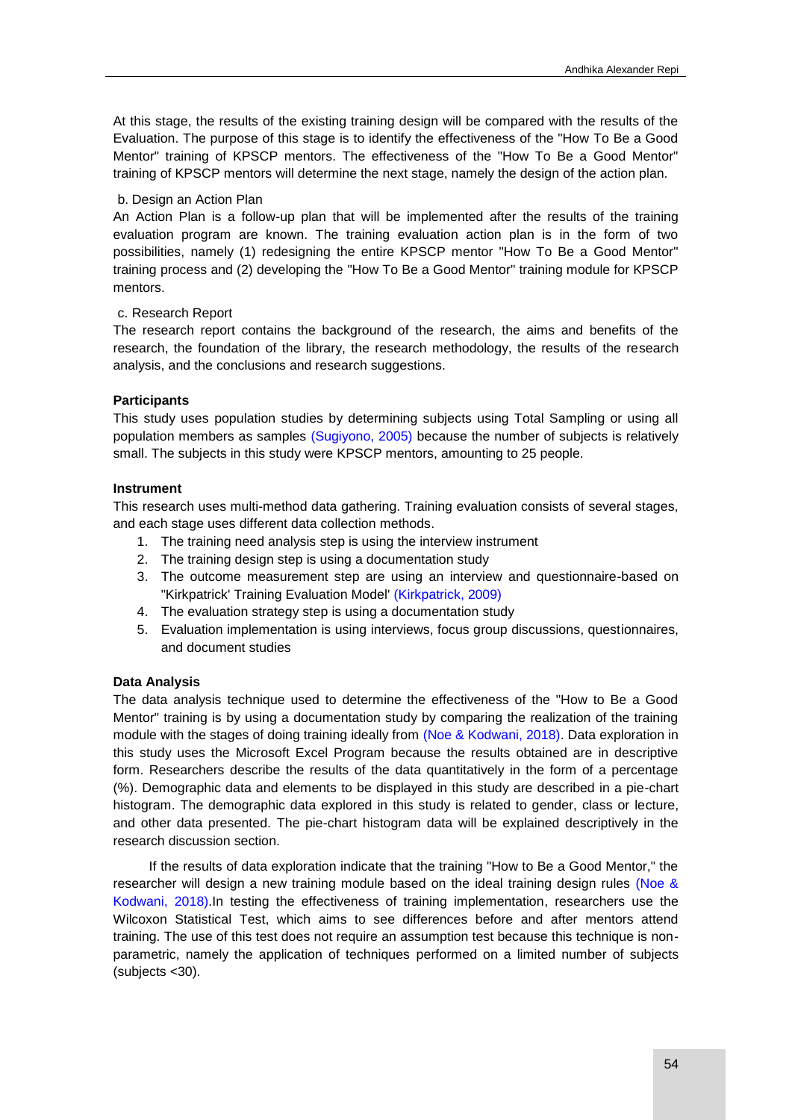At this stage, the results of the existing training design will be compared with the results of the Evaluation. The purpose of this stage is to identify the effectiveness of the "How To Be a Good Mentor" training of KPSCP mentors. The effectiveness of the "How To Be a Good Mentor" training of KPSCP mentors will determine the next stage, namely the design of the action plan.

## b. Design an Action Plan

An Action Plan is a follow-up plan that will be implemented after the results of the training evaluation program are known. The training evaluation action plan is in the form of two possibilities, namely (1) redesigning the entire KPSCP mentor "How To Be a Good Mentor" training process and (2) developing the "How To Be a Good Mentor" training module for KPSCP mentors.

#### c. Research Report

The research report contains the background of the research, the aims and benefits of the research, the foundation of the library, the research methodology, the results of the research analysis, and the conclusions and research suggestions.

#### **Participants**

This study uses population studies by determining subjects using Total Sampling or using all population members as samples [\(Sugiyono, 2005\)](#page-9-0) because the number of subjects is relatively small. The subjects in this study were KPSCP mentors, amounting to 25 people.

#### **Instrument**

This research uses multi-method data gathering. Training evaluation consists of several stages, and each stage uses different data collection methods.

- 1. The training need analysis step is using the interview instrument
- 2. The training design step is using a documentation study
- 3. The outcome measurement step are using an interview and questionnaire-based on "Kirkpatrick' Training Evaluation Model' [\(Kirkpatrick, 2009\)](#page-9-0)
- 4. The evaluation strategy step is using a documentation study
- 5. Evaluation implementation is using interviews, focus group discussions, questionnaires, and document studies

#### **Data Analysis**

The data analysis technique used to determine the effectiveness of the "How to Be a Good Mentor" training is by using a documentation study by comparing the realization of the training module with the stages of doing training ideally from [\(Noe & Kodwani, 2018\).](#page-9-0) Data exploration in this study uses the Microsoft Excel Program because the results obtained are in descriptive form. Researchers describe the results of the data quantitatively in the form of a percentage (%). Demographic data and elements to be displayed in this study are described in a pie-chart histogram. The demographic data explored in this study is related to gender, class or lecture, and other data presented. The pie-chart histogram data will be explained descriptively in the research discussion section.

If the results of data exploration indicate that the training "How to Be a Good Mentor," the researcher will design a new training module based on the ideal training design rules [\(Noe &](#page-9-0)  Kodwani, 2018).In testing the effectiveness of training implementation, researchers use the Wilcoxon Statistical Test, which aims to see differences before and after mentors attend training. The use of this test does not require an assumption test because this technique is nonparametric, namely the application of techniques performed on a limited number of subjects (subjects <30).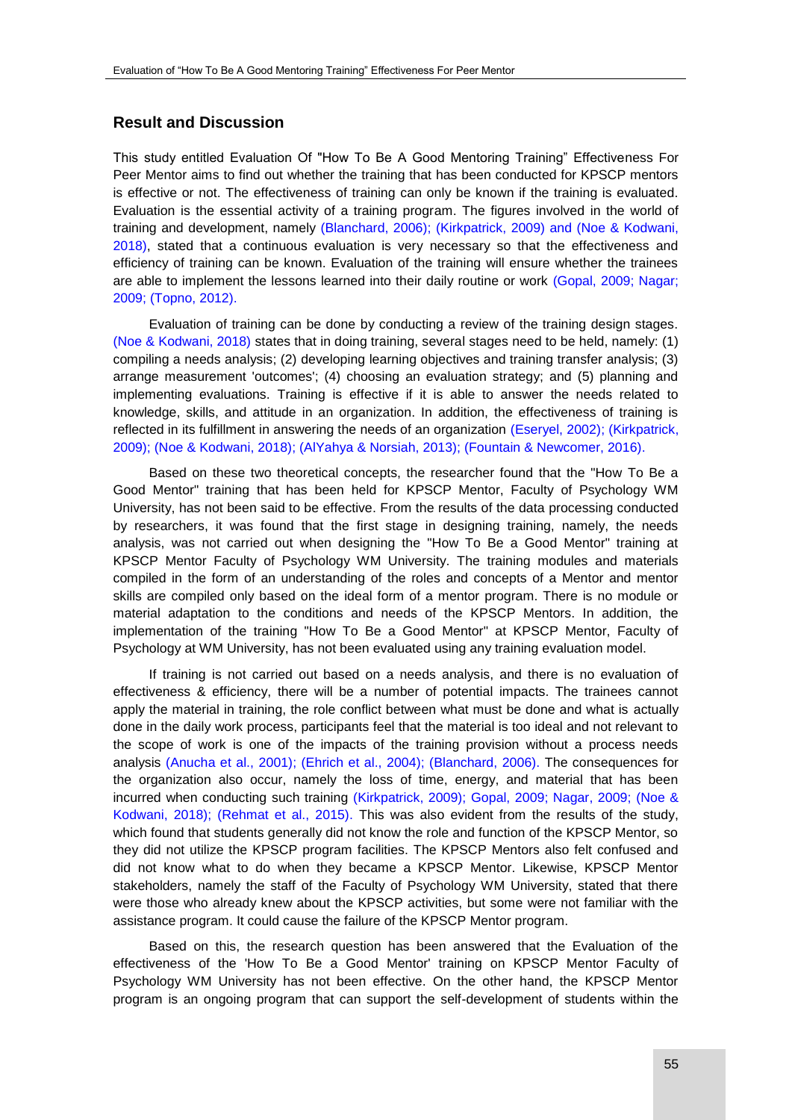## **Result and Discussion**

This study entitled Evaluation Of "How To Be A Good Mentoring Training" Effectiveness For Peer Mentor aims to find out whether the training that has been conducted for KPSCP mentors is effective or not. The effectiveness of training can only be known if the training is evaluated. Evaluation is the essential activity of a training program. The figures involved in the world of training and development, namely (Blanchard, 2006); (Kirkpatrick, 2009) [and \(Noe & Kodwani,](#page-9-0)  2018), stated that a continuous evaluation is very necessary so that the effectiveness and efficiency of training can be known. Evaluation of the training will ensure whether the trainees are able to implement the lessons learned into their daily routine or work [\(Gopal, 2009; Nagar;](#page-9-0)  [2009; \(Topno, 2012\).](#page-9-0)

Evaluation of training can be done by conducting a review of the training design stages. [\(Noe & Kodwani, 2018\)](#page-9-0) states that in doing training, several stages need to be held, namely: (1) compiling a needs analysis; (2) developing learning objectives and training transfer analysis; (3) arrange measurement 'outcomes'; (4) choosing an evaluation strategy; and (5) planning and implementing evaluations. Training is effective if it is able to answer the needs related to knowledge, skills, and attitude in an organization. In addition, the effectiveness of training is reflected in its fulfillment in answering the needs of an organization [\(Eseryel, 2002\); \(Kirkpatrick,](#page-9-0)  2009); (Noe & Kodwani, 2018); (AlYahya & Norsiah, 2013); (Fountain & Newcomer, 2016).

Based on these two theoretical concepts, the researcher found that the "How To Be a Good Mentor" training that has been held for KPSCP Mentor, Faculty of Psychology WM University, has not been said to be effective. From the results of the data processing conducted by researchers, it was found that the first stage in designing training, namely, the needs analysis, was not carried out when designing the "How To Be a Good Mentor" training at KPSCP Mentor Faculty of Psychology WM University. The training modules and materials compiled in the form of an understanding of the roles and concepts of a Mentor and mentor skills are compiled only based on the ideal form of a mentor program. There is no module or material adaptation to the conditions and needs of the KPSCP Mentors. In addition, the implementation of the training "How To Be a Good Mentor" at KPSCP Mentor, Faculty of Psychology at WM University, has not been evaluated using any training evaluation model.

If training is not carried out based on a needs analysis, and there is no evaluation of effectiveness & efficiency, there will be a number of potential impacts. The trainees cannot apply the material in training, the role conflict between what must be done and what is actually done in the daily work process, participants feel that the material is too ideal and not relevant to the scope of work is one of the impacts of the training provision without a process needs analysis [\(Anucha et al., 2001\); \(Ehrich et al., 2004\); \(Blanchard, 2006\).](#page-9-0) The consequences for the organization also occur, namely the loss of time, energy, and material that has been incurred when conducting such training (Kirkpatrick, 2009); [Gopal, 2009; Nagar, 2009; \(Noe &](#page-9-0)  Kodwani, 2018); (Rehmat et al., 2015). This was also evident from the results of the study, which found that students generally did not know the role and function of the KPSCP Mentor, so they did not utilize the KPSCP program facilities. The KPSCP Mentors also felt confused and did not know what to do when they became a KPSCP Mentor. Likewise, KPSCP Mentor stakeholders, namely the staff of the Faculty of Psychology WM University, stated that there were those who already knew about the KPSCP activities, but some were not familiar with the assistance program. It could cause the failure of the KPSCP Mentor program.

Based on this, the research question has been answered that the Evaluation of the effectiveness of the 'How To Be a Good Mentor' training on KPSCP Mentor Faculty of Psychology WM University has not been effective. On the other hand, the KPSCP Mentor program is an ongoing program that can support the self-development of students within the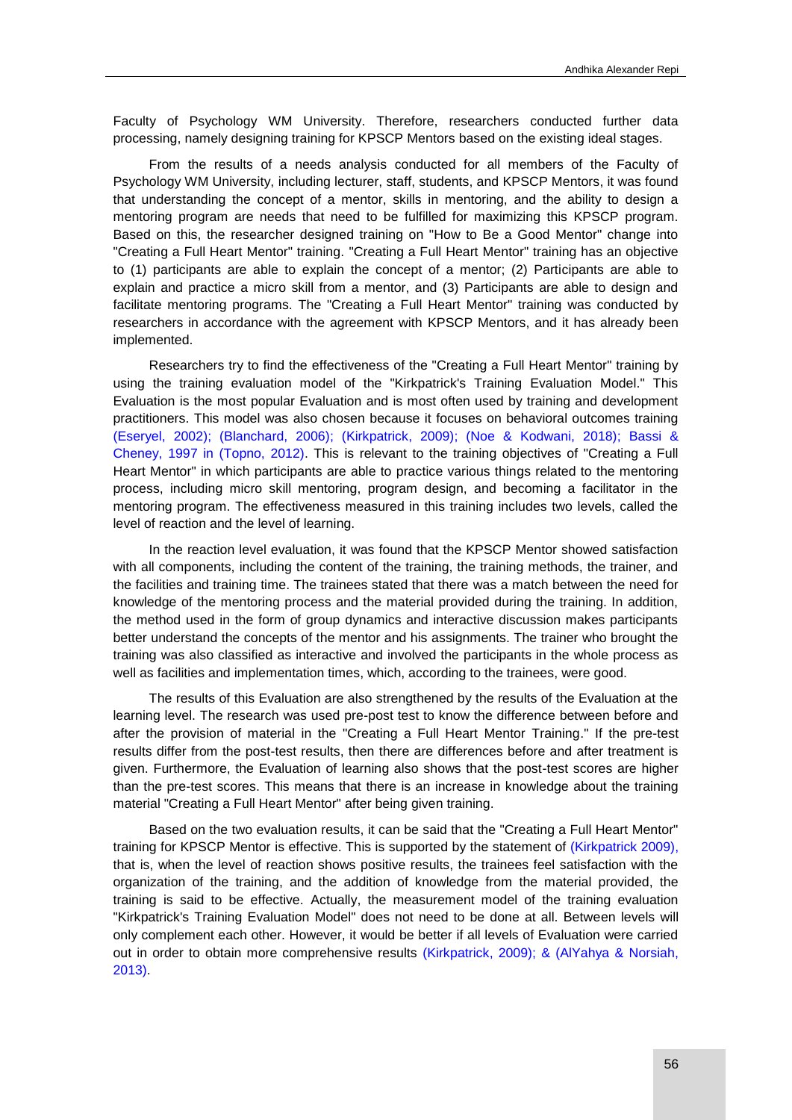Faculty of Psychology WM University. Therefore, researchers conducted further data processing, namely designing training for KPSCP Mentors based on the existing ideal stages.

From the results of a needs analysis conducted for all members of the Faculty of Psychology WM University, including lecturer, staff, students, and KPSCP Mentors, it was found that understanding the concept of a mentor, skills in mentoring, and the ability to design a mentoring program are needs that need to be fulfilled for maximizing this KPSCP program. Based on this, the researcher designed training on "How to Be a Good Mentor" change into "Creating a Full Heart Mentor" training. "Creating a Full Heart Mentor" training has an objective to (1) participants are able to explain the concept of a mentor; (2) Participants are able to explain and practice a micro skill from a mentor, and (3) Participants are able to design and facilitate mentoring programs. The "Creating a Full Heart Mentor" training was conducted by researchers in accordance with the agreement with KPSCP Mentors, and it has already been implemented.

Researchers try to find the effectiveness of the "Creating a Full Heart Mentor" training by using the training evaluation model of the "Kirkpatrick's Training Evaluation Model." This Evaluation is the most popular Evaluation and is most often used by training and development practitioners. This model was also chosen because it focuses on behavioral outcomes training (Eseryel, 2002); (Blanchard, 2006); (Kirkpatrick, 2009); [\(Noe & Kodwani, 2018\);](#page-9-0) Bassi & [Cheney, 1997 in \(Topno, 2012\).](#page-9-0) This is relevant to the training objectives of "Creating a Full Heart Mentor" in which participants are able to practice various things related to the mentoring process, including micro skill mentoring, program design, and becoming a facilitator in the mentoring program. The effectiveness measured in this training includes two levels, called the level of reaction and the level of learning.

In the reaction level evaluation, it was found that the KPSCP Mentor showed satisfaction with all components, including the content of the training, the training methods, the trainer, and the facilities and training time. The trainees stated that there was a match between the need for knowledge of the mentoring process and the material provided during the training. In addition, the method used in the form of group dynamics and interactive discussion makes participants better understand the concepts of the mentor and his assignments. The trainer who brought the training was also classified as interactive and involved the participants in the whole process as well as facilities and implementation times, which, according to the trainees, were good.

The results of this Evaluation are also strengthened by the results of the Evaluation at the learning level. The research was used pre-post test to know the difference between before and after the provision of material in the "Creating a Full Heart Mentor Training." If the pre-test results differ from the post-test results, then there are differences before and after treatment is given. Furthermore, the Evaluation of learning also shows that the post-test scores are higher than the pre-test scores. This means that there is an increase in knowledge about the training material "Creating a Full Heart Mentor" after being given training.

Based on the two evaluation results, it can be said that the "Creating a Full Heart Mentor" training for KPSCP Mentor is effective. This is supported by the statement of [\(Kirkpatrick 2009\),](#page-9-0) that is, when the level of reaction shows positive results, the trainees feel satisfaction with the organization of the training, and the addition of knowledge from the material provided, the training is said to be effective. Actually, the measurement model of the training evaluation "Kirkpatrick's Training Evaluation Model" does not need to be done at all. Between levels will only complement each other. However, it would be better if all levels of Evaluation were carried out in order to obtain more comprehensive results [\(Kirkpatrick, 2009\); & \(AlYahya & Norsiah,](#page-9-0)  2013).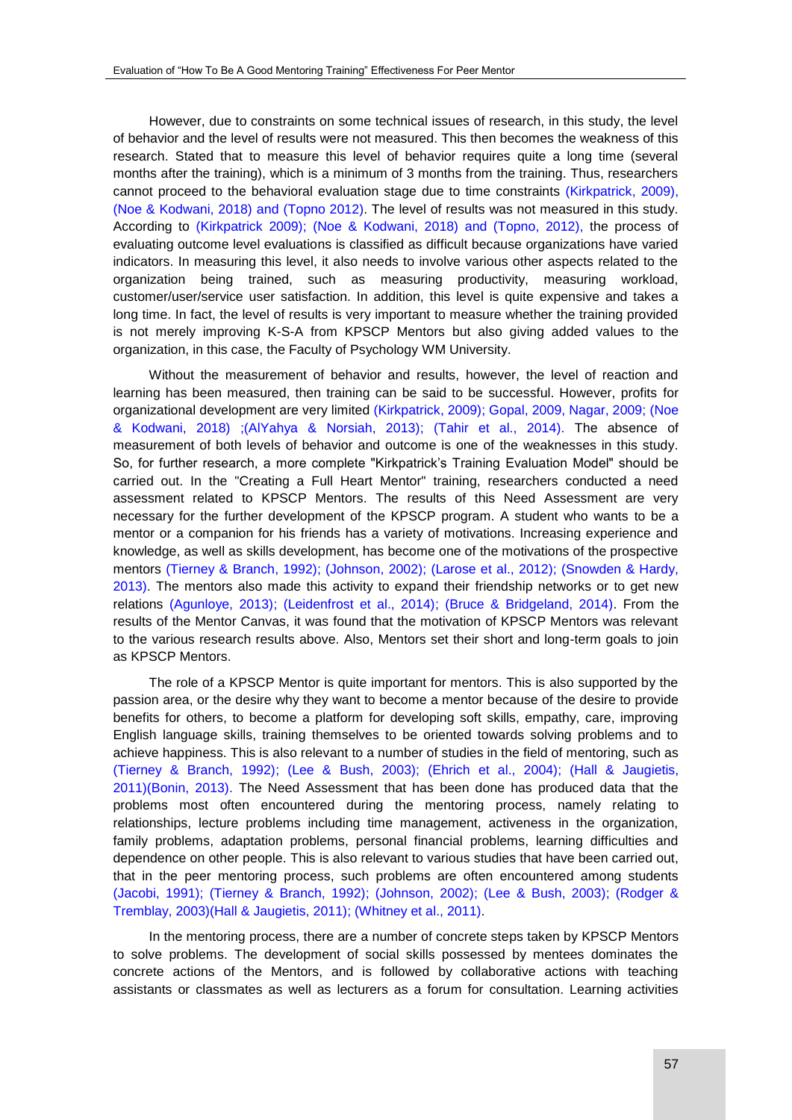However, due to constraints on some technical issues of research, in this study, the level of behavior and the level of results were not measured. This then becomes the weakness of this research. Stated that to measure this level of behavior requires quite a long time (several months after the training), which is a minimum of 3 months from the training. Thus, researchers cannot proceed to the behavioral evaluation stage due to time constraints [\(Kirkpatrick, 2009\),](#page-9-0) (Noe & Kodwani, 2018) and (Topno 2012). The level of results was not measured in this study. According to (Kirkpatrick 2009); [\(Noe & Kodwani, 2018\)](#page-9-0) and (Topno, 2012), the process of evaluating outcome level evaluations is classified as difficult because organizations have varied indicators. In measuring this level, it also needs to involve various other aspects related to the organization being trained, such as measuring productivity, measuring workload, customer/user/service user satisfaction. In addition, this level is quite expensive and takes a long time. In fact, the level of results is very important to measure whether the training provided is not merely improving K-S-A from KPSCP Mentors but also giving added values to the organization, in this case, the Faculty of Psychology WM University.

Without the measurement of behavior and results, however, the level of reaction and learning has been measured, then training can be said to be successful. However, profits for organizational development are very limited [\(Kirkpatrick, 2009\); Gopal, 2009, Nagar, 2009; \(Noe](#page-9-0)  & Kodwani, 2018) ;(AlYahya & Norsiah, 2013); (Tahir et al., 2014). The absence of measurement of both levels of behavior and outcome is one of the weaknesses in this study. So, for further research, a more complete "Kirkpatrick's Training Evaluation Model" should be carried out. In the "Creating a Full Heart Mentor" training, researchers conducted a need assessment related to KPSCP Mentors. The results of this Need Assessment are very necessary for the further development of the KPSCP program. A student who wants to be a mentor or a companion for his friends has a variety of motivations. Increasing experience and knowledge, as well as skills development, has become one of the motivations of the prospective mentors [\(Tierney & Branch, 1992\); \(Johnson, 2002\); \(Larose et al., 2012\); \(Snowden & Hardy,](#page-9-0)  2013). The mentors also made this activity to expand their friendship networks or to get new relations [\(Agunloye, 2013\); \(Leidenfrost et al., 2014\); \(Bruce & Bridgeland, 2014\).](#page-9-0) From the results of the Mentor Canvas, it was found that the motivation of KPSCP Mentors was relevant to the various research results above. Also, Mentors set their short and long-term goals to join as KPSCP Mentors.

The role of a KPSCP Mentor is quite important for mentors. This is also supported by the passion area, or the desire why they want to become a mentor because of the desire to provide benefits for others, to become a platform for developing soft skills, empathy, care, improving English language skills, training themselves to be oriented towards solving problems and to achieve happiness. This is also relevant to a number of studies in the field of mentoring, such as [\(Tierney & Branch, 1992\); \(Lee & Bush, 2003\); \(Ehrich et al., 2004\); \(Hall & Jaugietis,](#page-9-0)  2011)(Bonin, 2013). The Need Assessment that has been done has produced data that the problems most often encountered during the mentoring process, namely relating to relationships, lecture problems including time management, activeness in the organization, family problems, adaptation problems, personal financial problems, learning difficulties and dependence on other people. This is also relevant to various studies that have been carried out, that in the peer mentoring process, such problems are often encountered among students [\(Jacobi, 1991\); \(Tierney & Branch, 1992\); \(Johnson, 2002\); \(Lee & Bush, 2003\); \(Rodger &](#page-9-0)  Tremblay, 2003)(Hall & Jaugietis, 2011); (Whitney et al., 2011).

In the mentoring process, there are a number of concrete steps taken by KPSCP Mentors to solve problems. The development of social skills possessed by mentees dominates the concrete actions of the Mentors, and is followed by collaborative actions with teaching assistants or classmates as well as lecturers as a forum for consultation. Learning activities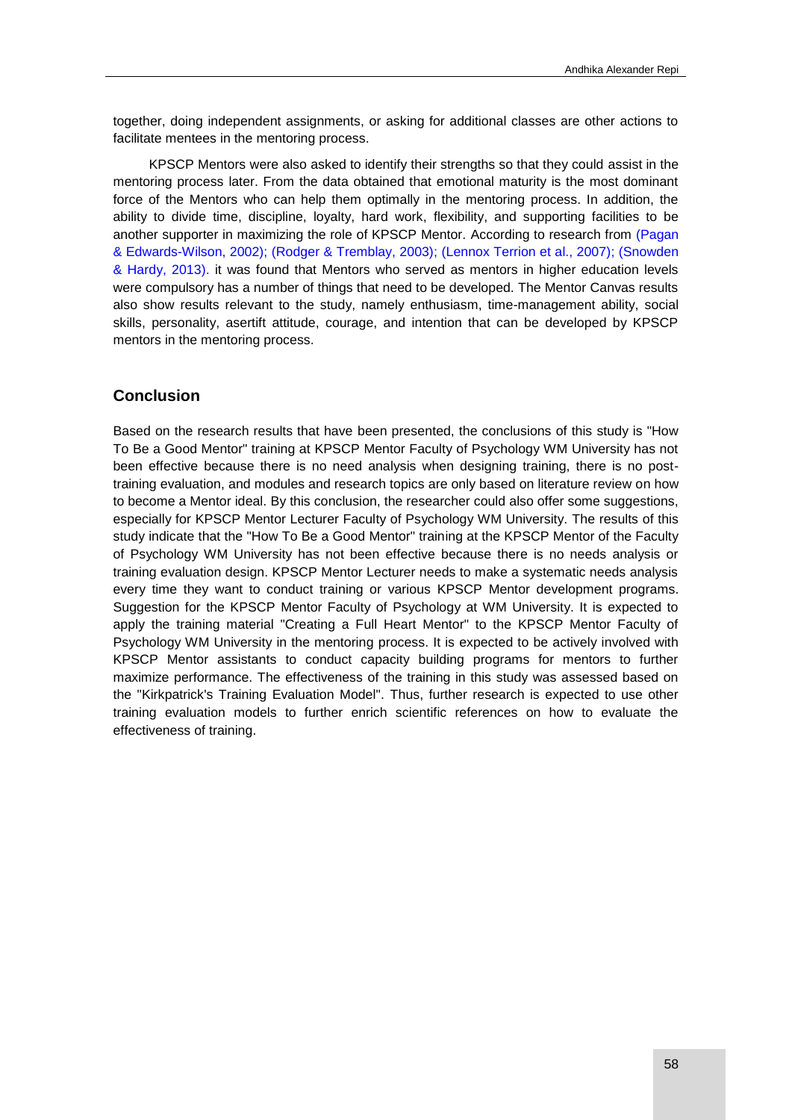together, doing independent assignments, or asking for additional classes are other actions to facilitate mentees in the mentoring process.

KPSCP Mentors were also asked to identify their strengths so that they could assist in the mentoring process later. From the data obtained that emotional maturity is the most dominant force of the Mentors who can help them optimally in the mentoring process. In addition, the ability to divide time, discipline, loyalty, hard work, flexibility, and supporting facilities to be another supporter in maximizing the role of KPSCP Mentor. According to research from [\(Pagan](#page-9-0)  & Edwards-Wilson, 2002); (Rodger & Tremblay, 2003); (Lennox Terrion et al., 2007); (Snowden & Hardy, 2013). it was found that Mentors who served as mentors in higher education levels were compulsory has a number of things that need to be developed. The Mentor Canvas results also show results relevant to the study, namely enthusiasm, time-management ability, social skills, personality, asertift attitude, courage, and intention that can be developed by KPSCP mentors in the mentoring process.

# **Conclusion**

Based on the research results that have been presented, the conclusions of this study is "How To Be a Good Mentor" training at KPSCP Mentor Faculty of Psychology WM University has not been effective because there is no need analysis when designing training, there is no posttraining evaluation, and modules and research topics are only based on literature review on how to become a Mentor ideal. By this conclusion, the researcher could also offer some suggestions, especially for KPSCP Mentor Lecturer Faculty of Psychology WM University. The results of this study indicate that the "How To Be a Good Mentor" training at the KPSCP Mentor of the Faculty of Psychology WM University has not been effective because there is no needs analysis or training evaluation design. KPSCP Mentor Lecturer needs to make a systematic needs analysis every time they want to conduct training or various KPSCP Mentor development programs. Suggestion for the KPSCP Mentor Faculty of Psychology at WM University. It is expected to apply the training material "Creating a Full Heart Mentor" to the KPSCP Mentor Faculty of Psychology WM University in the mentoring process. It is expected to be actively involved with KPSCP Mentor assistants to conduct capacity building programs for mentors to further maximize performance. The effectiveness of the training in this study was assessed based on the "Kirkpatrick's Training Evaluation Model". Thus, further research is expected to use other training evaluation models to further enrich scientific references on how to evaluate the effectiveness of training.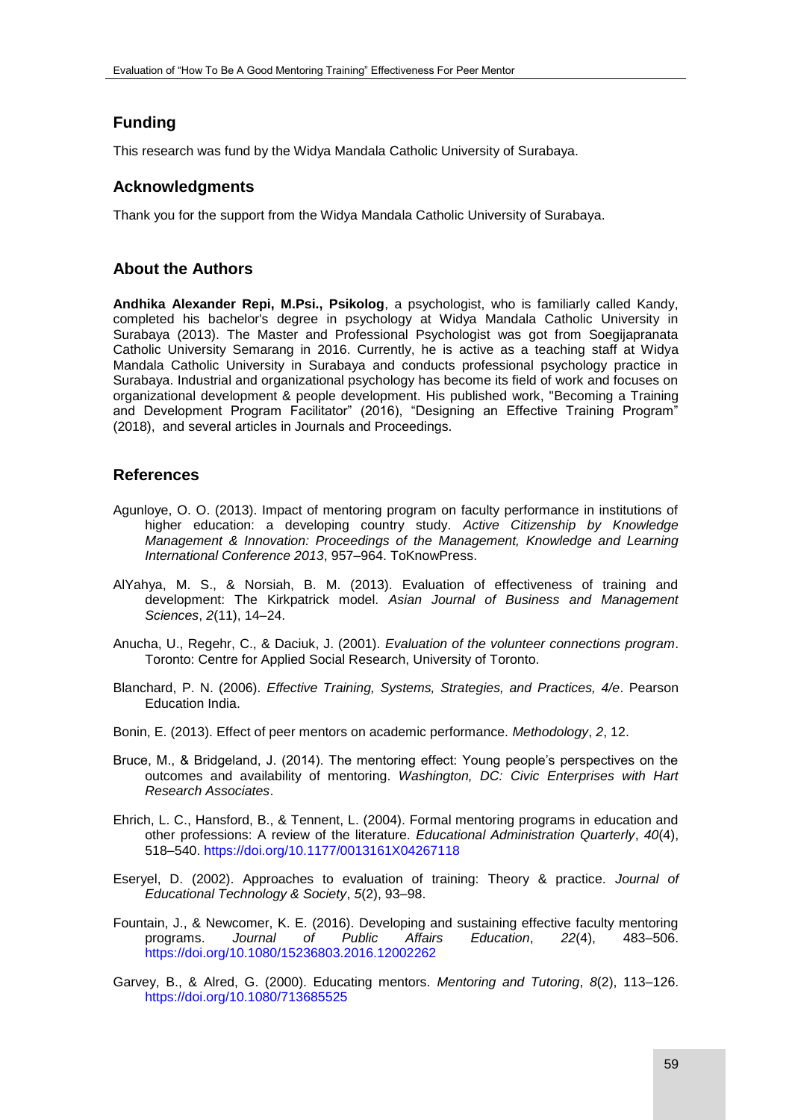# **Funding**

This research was fund by the Widya Mandala Catholic University of Surabaya.

# **Acknowledgments**

Thank you for the support from the Widya Mandala Catholic University of Surabaya.

# **About the Authors**

**Andhika Alexander Repi, M.Psi., Psikolog**, a psychologist, who is familiarly called Kandy, completed his bachelor's degree in psychology at Widya Mandala Catholic University in Surabaya (2013). The Master and Professional Psychologist was got from Soegijapranata Catholic University Semarang in 2016. Currently, he is active as a teaching staff at Widya Mandala Catholic University in Surabaya and conducts professional psychology practice in Surabaya. Industrial and organizational psychology has become its field of work and focuses on organizational development & people development. His published work, "Becoming a Training and Development Program Facilitator" (2016), "Designing an Effective Training Program" (2018), and several articles in Journals and Proceedings.

# <span id="page-9-0"></span>**References**

- Agunloye, O. O. (2013). Impact of mentoring program on faculty performance in institutions of higher education: a developing country study. *Active Citizenship by Knowledge Management & Innovation: Proceedings of the Management, Knowledge and Learning International Conference 2013*, 957–964. ToKnowPress.
- AlYahya, M. S., & Norsiah, B. M. (2013). Evaluation of effectiveness of training and development: The Kirkpatrick model. *Asian Journal of Business and Management Sciences*, *2*(11), 14–24.
- Anucha, U., Regehr, C., & Daciuk, J. (2001). *Evaluation of the volunteer connections program*. Toronto: Centre for Applied Social Research, University of Toronto.
- Blanchard, P. N. (2006). *Effective Training, Systems, Strategies, and Practices, 4/e*. Pearson Education India.
- Bonin, E. (2013). Effect of peer mentors on academic performance. *Methodology*, *2*, 12.
- Bruce, M., & Bridgeland, J. (2014). The mentoring effect: Young people's perspectives on the outcomes and availability of mentoring. *Washington, DC: Civic Enterprises with Hart Research Associates*.
- Ehrich, L. C., Hansford, B., & Tennent, L. (2004). Formal mentoring programs in education and other professions: A review of the literature. *Educational Administration Quarterly*, *40*(4), 518–540. <https://doi.org/10.1177/0013161X04267118>
- Eseryel, D. (2002). Approaches to evaluation of training: Theory & practice. *Journal of Educational Technology & Society*, *5*(2), 93–98.
- Fountain, J., & Newcomer, K. E. (2016). Developing and sustaining effective faculty mentoring programs. *Journal of Public Affairs Education*, *22*(4), 483–506. <https://doi.org/10.1080/15236803.2016.12002262>
- Garvey, B., & Alred, G. (2000). Educating mentors. *Mentoring and Tutoring*, *8*(2), 113–126. <https://doi.org/10.1080/713685525>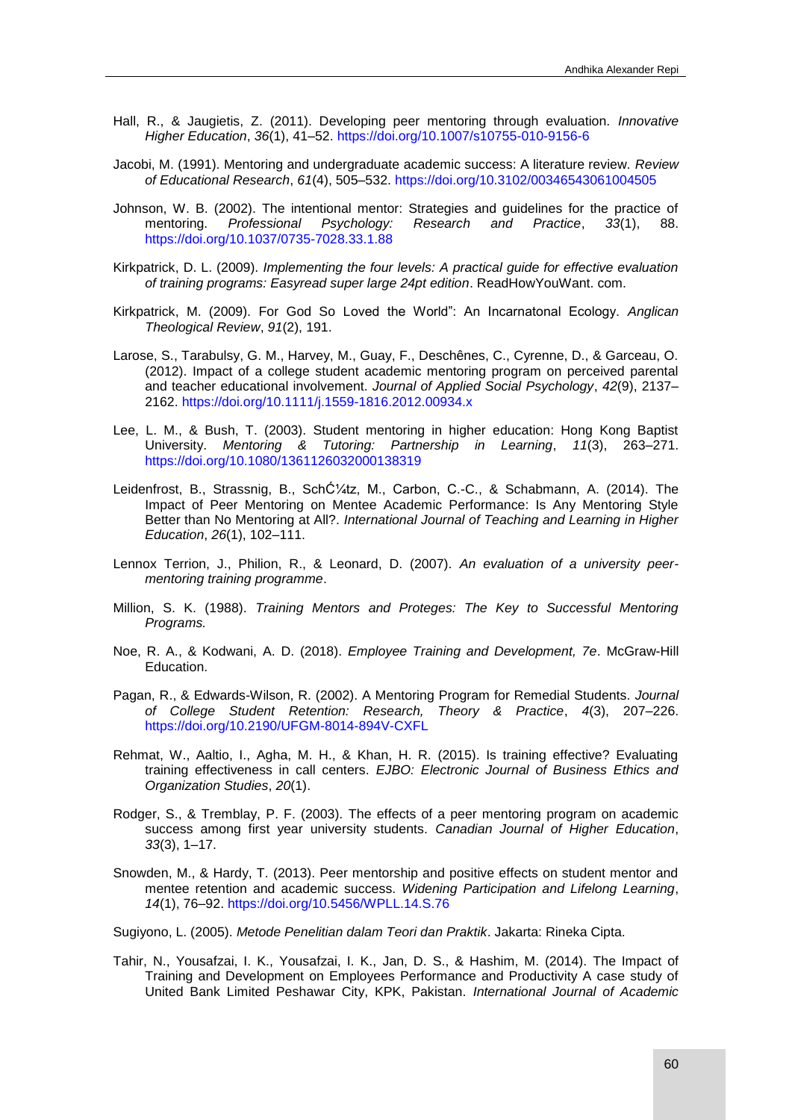- Hall, R., & Jaugietis, Z. (2011). Developing peer mentoring through evaluation. *Innovative Higher Education*, *36*(1), 41–52. <https://doi.org/10.1007/s10755-010-9156-6>
- Jacobi, M. (1991). Mentoring and undergraduate academic success: A literature review. *Review of Educational Research*, *61*(4), 505–532. <https://doi.org/10.3102/00346543061004505>
- Johnson, W. B. (2002). The intentional mentor: Strategies and guidelines for the practice of mentoring. *Professional Psychology: Research and Practice*, 33(1), <https://doi.org/10.1037/0735-7028.33.1.88>
- Kirkpatrick, D. L. (2009). *Implementing the four levels: A practical guide for effective evaluation of training programs: Easyread super large 24pt edition*. ReadHowYouWant. com.
- Kirkpatrick, M. (2009). For God So Loved the World": An Incarnatonal Ecology. *Anglican Theological Review*, *91*(2), 191.
- Larose, S., Tarabulsy, G. M., Harvey, M., Guay, F., Deschênes, C., Cyrenne, D., & Garceau, O. (2012). Impact of a college student academic mentoring program on perceived parental and teacher educational involvement. *Journal of Applied Social Psychology*, *42*(9), 2137– 2162. <https://doi.org/10.1111/j.1559-1816.2012.00934.x>
- Lee, L. M., & Bush, T. (2003). Student mentoring in higher education: Hong Kong Baptist University. *Mentoring & Tutoring: Partnership in Learning*, *11*(3), 263–271. <https://doi.org/10.1080/1361126032000138319>
- Leidenfrost, B., Strassnig, B., Schütz, M., Carbon, C.-C., & Schabmann, A. (2014). The Impact of Peer Mentoring on Mentee Academic Performance: Is Any Mentoring Style Better than No Mentoring at All?. *International Journal of Teaching and Learning in Higher Education*, *26*(1), 102–111.
- Lennox Terrion, J., Philion, R., & Leonard, D. (2007). *An evaluation of a university peermentoring training programme*.
- Million, S. K. (1988). *Training Mentors and Proteges: The Key to Successful Mentoring Programs.*
- Noe, R. A., & Kodwani, A. D. (2018). *Employee Training and Development, 7e*. McGraw-Hill Education.
- Pagan, R., & Edwards-Wilson, R. (2002). A Mentoring Program for Remedial Students. *Journal of College Student Retention: Research, Theory & Practice*, *4*(3), 207–226. <https://doi.org/10.2190/UFGM-8014-894V-CXFL>
- Rehmat, W., Aaltio, I., Agha, M. H., & Khan, H. R. (2015). Is training effective? Evaluating training effectiveness in call centers. *EJBO: Electronic Journal of Business Ethics and Organization Studies*, *20*(1).
- Rodger, S., & Tremblay, P. F. (2003). The effects of a peer mentoring program on academic success among first year university students. *Canadian Journal of Higher Education*, *33*(3), 1–17.
- Snowden, M., & Hardy, T. (2013). Peer mentorship and positive effects on student mentor and mentee retention and academic success. *Widening Participation and Lifelong Learning*, *14*(1), 76–92.<https://doi.org/10.5456/WPLL.14.S.76>
- Sugiyono, L. (2005). *Metode Penelitian dalam Teori dan Praktik*. Jakarta: Rineka Cipta.
- Tahir, N., Yousafzai, I. K., Yousafzai, I. K., Jan, D. S., & Hashim, M. (2014). The Impact of Training and Development on Employees Performance and Productivity A case study of United Bank Limited Peshawar City, KPK, Pakistan. *International Journal of Academic*